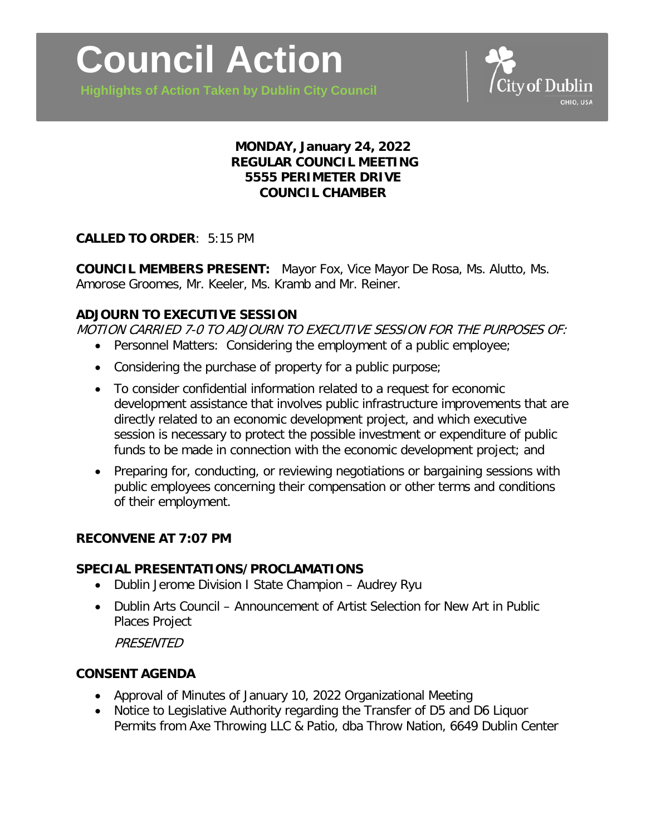**Highlights of Action Taken by Dublin City Council**



## **MONDAY, January 24, 2022 REGULAR COUNCIL MEETING 5555 PERIMETER DRIVE COUNCIL CHAMBER**

# **CALLED TO ORDER**: 5:15 PM

**COUNCIL MEMBERS PRESENT:** Mayor Fox, Vice Mayor De Rosa, Ms. Alutto, Ms. Amorose Groomes, Mr. Keeler, Ms. Kramb and Mr. Reiner.

## **ADJOURN TO EXECUTIVE SESSION**

MOTION CARRIED 7-0 TO ADJOURN TO EXECUTIVE SESSION FOR THE PURPOSES OF:

- Personnel Matters: Considering the employment of a public employee;
- Considering the purchase of property for a public purpose;
- To consider confidential information related to a request for economic development assistance that involves public infrastructure improvements that are directly related to an economic development project, and which executive session is necessary to protect the possible investment or expenditure of public funds to be made in connection with the economic development project; and
- Preparing for, conducting, or reviewing negotiations or bargaining sessions with public employees concerning their compensation or other terms and conditions of their employment.

## **RECONVENE AT 7:07 PM**

#### **SPECIAL PRESENTATIONS/PROCLAMATIONS**

- Dublin Jerome Division I State Champion Audrey Ryu
- Dublin Arts Council Announcement of Artist Selection for New Art in Public Places Project

**PRESENTED** 

## **CONSENT AGENDA**

- Approval of Minutes of January 10, 2022 Organizational Meeting
- Notice to Legislative Authority regarding the Transfer of D5 and D6 Liquor Permits from Axe Throwing LLC & Patio, dba Throw Nation, 6649 Dublin Center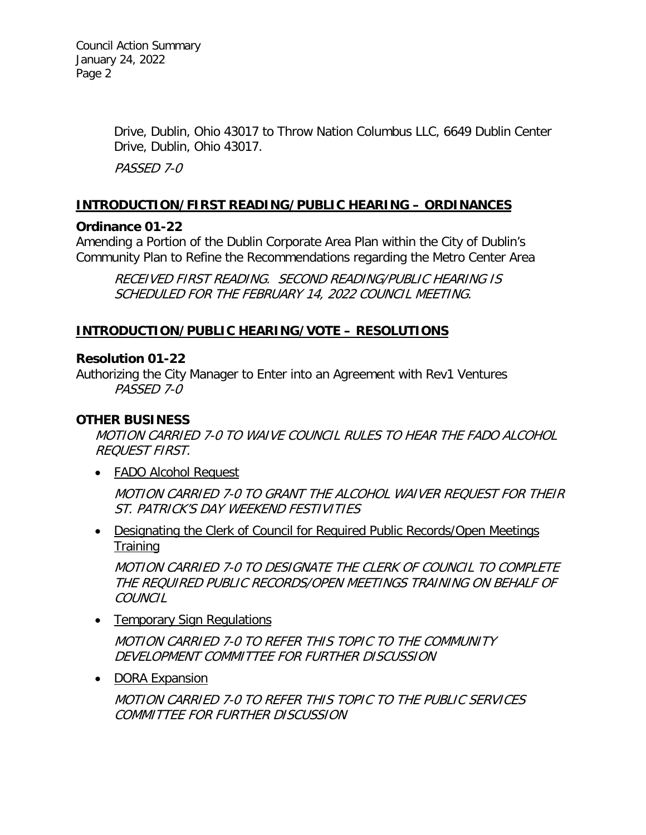Drive, Dublin, Ohio 43017 to Throw Nation Columbus LLC, 6649 Dublin Center Drive, Dublin, Ohio 43017.

PASSED 7-0

### **INTRODUCTION/FIRST READING/PUBLIC HEARING – ORDINANCES**

### **Ordinance 01-22**

Amending a Portion of the Dublin Corporate Area Plan within the City of Dublin's Community Plan to Refine the Recommendations regarding the Metro Center Area

RECEIVED FIRST READING. SECOND READING/PUBLIC HEARING IS SCHEDULED FOR THE FEBRUARY 14, 2022 COUNCIL MEETING.

### **INTRODUCTION/PUBLIC HEARING/VOTE – RESOLUTIONS**

### **Resolution 01-22**

Authorizing the City Manager to Enter into an Agreement with Rev1 Ventures PASSED 7-0

## **OTHER BUSINESS**

MOTION CARRIED 7-0 TO WAIVE COUNCIL RULES TO HEAR THE FADO ALCOHOL REQUEST FIRST.

• FADO Alcohol Request

MOTION CARRIED 7-0 TO GRANT THE ALCOHOL WAIVER REQUEST FOR THEIR ST. PATRICK'S DAY WEEKEND FESTIVITIES

• Designating the Clerk of Council for Required Public Records/Open Meetings **Training** 

MOTION CARRIED 7-0 TO DESIGNATE THE CLERK OF COUNCIL TO COMPLETE THE REQUIRED PUBLIC RECORDS/OPEN MEETINGS TRAINING ON BEHALF OF **COUNCIL** 

• Temporary Sign Regulations

MOTION CARRIED 7-0 TO REFER THIS TOPIC TO THE COMMUNITY DEVELOPMENT COMMITTEE FOR FURTHER DISCUSSION

• DORA Expansion

MOTION CARRIED 7-0 TO REFER THIS TOPIC TO THE PUBLIC SERVICES COMMITTEE FOR FURTHER DISCUSSION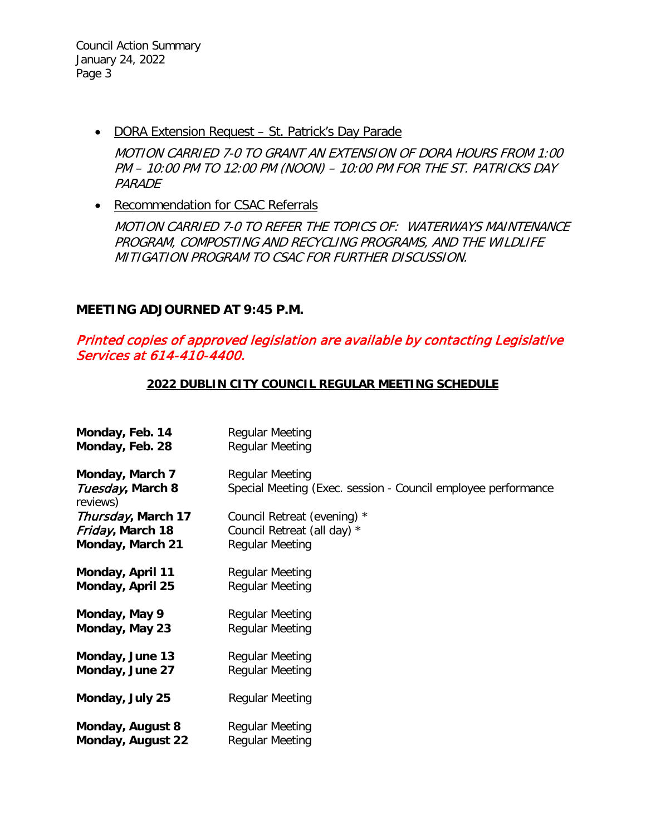Council Action Summary January 24, 2022 Page 3

• DORA Extension Request – St. Patrick's Day Parade

MOTION CARRIED 7-0 TO GRANT AN EXTENSION OF DORA HOURS FROM 1:00 PM – 10:00 PM TO 12:00 PM (NOON) – 10:00 PM FOR THE ST. PATRICKS DAY PARADE

• Recommendation for CSAC Referrals

MOTION CARRIED 7-0 TO REFER THE TOPICS OF: WATERWAYS MAINTENANCE PROGRAM, COMPOSTING AND RECYCLING PROGRAMS, AND THE WILDLIFE MITIGATION PROGRAM TO CSAC FOR FURTHER DISCUSSION.

### **MEETING ADJOURNED AT 9:45 P.M.**

## Printed copies of approved legislation are available by contacting Legislative Services at 614-410-4400.

#### **2022 DUBLIN CITY COUNCIL REGULAR MEETING SCHEDULE**

| Monday, Feb. 14                                 | <b>Regular Meeting</b>                                                                  |
|-------------------------------------------------|-----------------------------------------------------------------------------------------|
| Monday, Feb. 28                                 | <b>Regular Meeting</b>                                                                  |
| Monday, March 7<br>Tuesday, March 8<br>reviews) | <b>Regular Meeting</b><br>Special Meeting (Exec. session - Council employee performance |
| Thursday, March 17                              | Council Retreat (evening) *                                                             |
| Friday, March 18                                | Council Retreat (all day) *                                                             |
| Monday, March 21                                | <b>Regular Meeting</b>                                                                  |
| <b>Monday, April 11</b>                         | <b>Regular Meeting</b>                                                                  |
| Monday, April 25                                | <b>Regular Meeting</b>                                                                  |
| Monday, May 9                                   | <b>Regular Meeting</b>                                                                  |
| Monday, May 23                                  | <b>Regular Meeting</b>                                                                  |
| Monday, June 13                                 | <b>Regular Meeting</b>                                                                  |
| Monday, June 27                                 | <b>Regular Meeting</b>                                                                  |
| Monday, July 25                                 | <b>Regular Meeting</b>                                                                  |
| Monday, August 8                                | <b>Regular Meeting</b>                                                                  |
| Monday, August 22                               | <b>Regular Meeting</b>                                                                  |